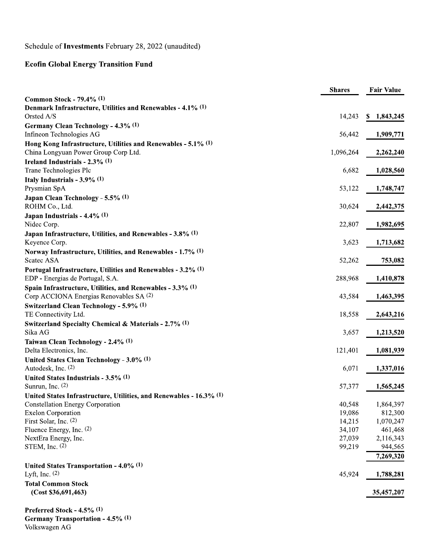Schedule of Investments February 28, 2022 (unaudited)

## **Ecofin Global Energy Transition Fund**

|                                                                     | <b>Shares</b> | <b>Fair Value</b> |
|---------------------------------------------------------------------|---------------|-------------------|
| Common Stock - 79.4% (1)                                            |               |                   |
| Denmark Infrastructure, Utilities and Renewables - 4.1% (1)         |               |                   |
| Orsted A/S                                                          | 14,243        | \$1,843,245       |
| Germany Clean Technology - 4.3% (1)                                 |               |                   |
| Infineon Technologies AG                                            | 56,442        | 1,909,771         |
| Hong Kong Infrastructure, Utilities and Renewables - $5.1\%$ (1)    |               |                   |
| China Longyuan Power Group Corp Ltd.                                | 1,096,264     | 2,262,240         |
| Ireland Industrials - 2.3% (1)                                      |               |                   |
| Trane Technologies Plc                                              | 6,682         | 1,028,560         |
| Italy Industrials - $3.9\%$ (1)                                     |               |                   |
| Prysmian SpA                                                        | 53,122        | 1,748,747         |
| Japan Clean Technology - 5.5% (1)                                   |               |                   |
| ROHM Co., Ltd.                                                      | 30,624        | 2,442,375         |
| Japan Industrials - $4.4\%$ (1)                                     |               |                   |
| Nidec Corp.                                                         | 22,807        | 1,982,695         |
| Japan Infrastructure, Utilities, and Renewables - 3.8% (1)          |               |                   |
| Keyence Corp.                                                       | 3,623         | 1,713,682         |
| Norway Infrastructure, Utilities, and Renewables - 1.7% (1)         |               |                   |
| Scatec ASA                                                          | 52,262        | 753,082           |
| Portugal Infrastructure, Utilities and Renewables - 3.2% (1)        |               |                   |
| EDP - Energias de Portugal, S.A.                                    | 288,968       | 1,410,878         |
| Spain Infrastructure, Utilities, and Renewables - $3.3\%$ (1)       |               |                   |
| Corp ACCIONA Energias Renovables SA (2)                             | 43,584        | 1,463,395         |
| Switzerland Clean Technology - 5.9% (1)                             |               |                   |
| TE Connectivity Ltd.                                                | 18,558        | 2,643,216         |
|                                                                     |               |                   |
| Switzerland Specialty Chemical & Materials - 2.7% (1)<br>Sika AG    | 3,657         |                   |
|                                                                     |               | 1,213,520         |
| Taiwan Clean Technology - 2.4% (1)                                  |               |                   |
| Delta Electronics, Inc.                                             | 121,401       | 1,081,939         |
| United States Clean Technology - $3.0\%$ (1)                        |               |                   |
| Autodesk, Inc. (2)                                                  | 6,071         | 1,337,016         |
| United States Industrials - $3.5\%$ (1)                             |               |                   |
| Sunrun, Inc. $(2)$                                                  | 57,377        | 1,565,245         |
| United States Infrastructure, Utilities, and Renewables - 16.3% (1) |               |                   |
| <b>Constellation Energy Corporation</b>                             | 40,548        | 1,864,397         |
| <b>Exelon Corporation</b>                                           | 19,086        | 812,300           |
| First Solar, Inc. $(2)$                                             | 14,215        | 1,070,247         |
| Fluence Energy, Inc. (2)                                            | 34,107        | 461,468           |
| NextEra Energy, Inc.                                                | 27,039        | 2,116,343         |
| STEM, Inc. $(2)$                                                    | 99,219        | 944,565           |
|                                                                     |               | 7,269,320         |
| United States Transportation - $4.0\%$ (1)                          |               |                   |
| Lyft, Inc. $(2)$                                                    | 45,924        | 1,788,281         |
| <b>Total Common Stock</b>                                           |               |                   |
| (Cost \$36,691,463)                                                 |               | 35,457,207        |
|                                                                     |               |                   |
| 4.50/11                                                             |               |                   |

**Preferred Stock - 4.5% (1)** Germany Transportation - 4.5% (1) Volkswagen AG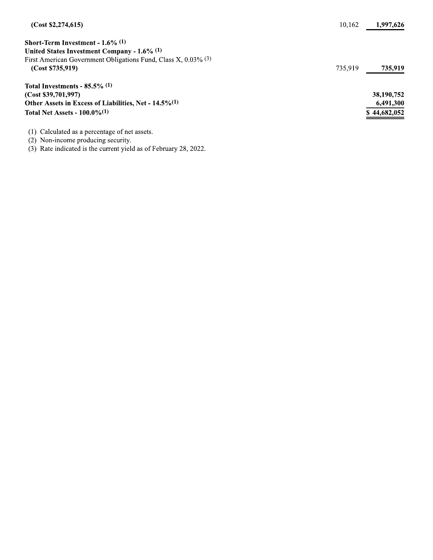| (Cost \$2,274,615)                                                | 10.162  | 1,997,626    |
|-------------------------------------------------------------------|---------|--------------|
| Short-Term Investment - $1.6\%$ (1)                               |         |              |
| United States Investment Company - 1.6% (1)                       |         |              |
| First American Government Obligations Fund, Class X, $0.03\%$ (3) |         |              |
| (Cost \$735,919)                                                  | 735.919 | 735,919      |
| Total Investments - $85.5\%$ (1)                                  |         |              |
| (Cost \$39,701,997)                                               |         | 38,190,752   |
| Other Assets in Excess of Liabilities, Net - $14.5\%/1$           |         | 6,491,300    |
| Total Net Assets - $100.0\%$ <sup>(1)</sup>                       |         | \$44,682,052 |
| Calculated as a percentage of net assets.<br>(1)                  |         |              |
|                                                                   |         |              |

(2) Non-income producing security.<br>
(3) Rate indicated is the current yield as of February 28, 2022.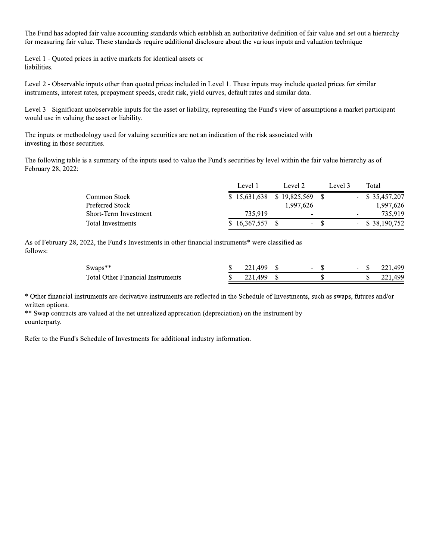The Fund has adopted fair value accounting standards which establish an authoritative definition of fair value and set out a hierarchy for measuring fair value. These standards require additional disclosure about the various inputs and valuation technique

Level 1 - Quoted prices in active markets for identical assets or liabilities.

Level 2 - Observable inputs other than quoted prices included in Level 1. These inputs may include quoted prices for similar instruments, interest rates, prepayment speeds, credit risk, yield curves, default rates and similar data.

Level 3 - Significant unobservable inputs for the asset or liability, representing the Fund's view of assumptions a market participant would use in valuing the asset or liability.

The inputs or methodology used for valuing securities are not an indication of the risk associated with investing in those securities.

The following table is a summary of the inputs used to value the Fund's securities by level within the fair value hierarchy as of February 28, 2022:

|                       | Level 1      | Level 2                     | Level 3 | Total                                 |
|-----------------------|--------------|-----------------------------|---------|---------------------------------------|
| Common Stock          |              | $$15,631,638$ $$19,825,569$ |         | $-$ \$ 35,457,207                     |
| Preferred Stock       |              | 1.997.626                   |         | 1,997,626<br>$\overline{\phantom{a}}$ |
| Short-Term Investment | 735,919      | $\overline{\phantom{a}}$    |         | 735,919<br>$\overline{\phantom{m}}$   |
| Total Investments     | \$16,367,557 |                             | $- S$   | $-$ \$ 38,190,752                     |

As of February 28, 2022, the Fund's Investments in other financial instruments\* were classified as follows:

| Swaps**                                  | 221.499 \$ |  |  | $-$ \$ 221.499 |
|------------------------------------------|------------|--|--|----------------|
| <b>Total Other Financial Instruments</b> |            |  |  | $-$ \$ 221.499 |

\* Other financial instruments are derivative instruments are reflected in the Schedule of Investments, such as swaps, futures and/or written options.

\*\* Swap contracts are valued at the net unrealized apprecation (depreciation) on the instrument by counterparty.

Refer to the Fund's Schedule of Investments for additional industry information.